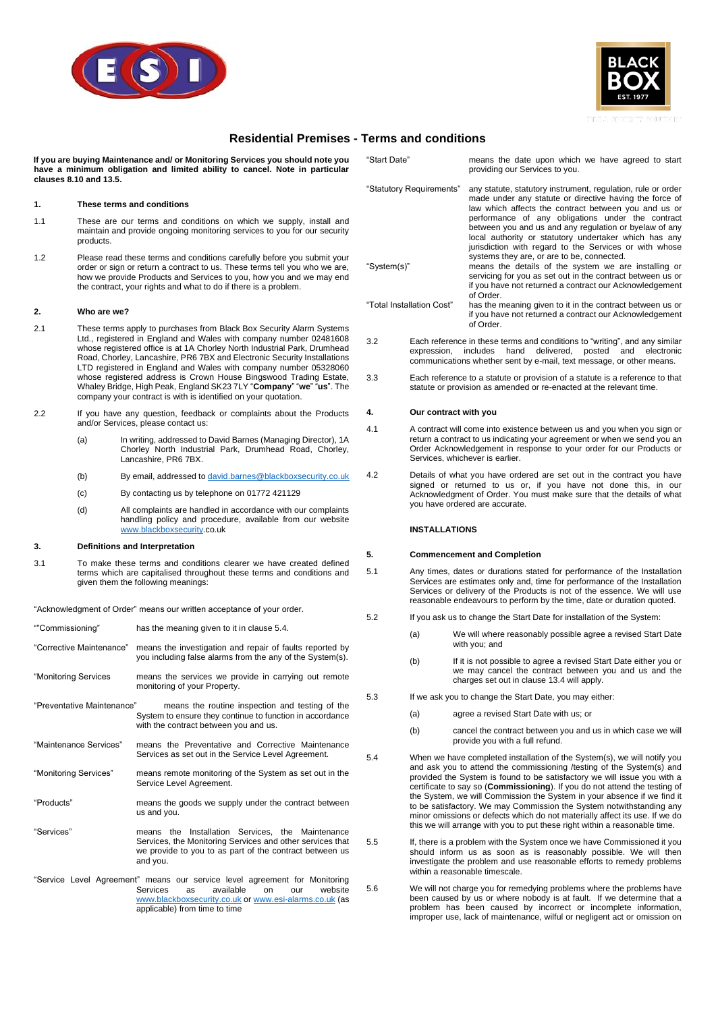



## **Residential Premises - Terms and conditions**

**If you are buying Maintenance and/ or Monitoring Services you should note you have a minimum obligation and limited ability to cancel. Note in particular clauses [8.10](#page-1-0) and [13.5.](#page-2-0)**

#### **1. These terms and conditions**

- 1.1 These are our terms and conditions on which we supply, install and maintain and provide ongoing monitoring services to you for our security products.
- 1.2 Please read these terms and conditions carefully before you submit your order or sign or return a contract to us. These terms tell you who we are, how we provide Products and Services to you, how you and we may end the contract, your rights and what to do if there is a problem.

#### **2. Who are we?**

- <span id="page-0-1"></span>2.1 These terms apply to purchases from Black Box Security Alarm Systems Ltd., registered in England and Wales with company number 02481608 whose registered office is at 1A Chorley North Industrial Park, Drumhead Road, Chorley, Lancashire, PR6 7BX and Electronic Security Installations LTD registered in England and Wales with company number 05328060 whose registered address is Crown House Bingswood Trading Estate, Whaley Bridge, High Peak, England SK23 7LY "**Company**" "**we**" "**us**". The company your contract is with is identified on your quotation.
- 2.2 If you have any question, feedback or complaints about the Products and/or Services, please contact us:
	- (a) In writing, addressed to David Barnes (Managing Director), 1A Chorley North Industrial Park, Drumhead Road, Chorley, Lancashire, PR6 7BX.
	- (b) By email, addressed t[o david.barnes@blackboxsecurity.co.uk](mailto:david.barnes@blackboxsecurity.co.uk)
	- (c) By contacting us by telephone on 01772 421129
	- (d) All complaints are handled in accordance with our complaints handling policy and procedure, available from our website [www.blackboxsecurity.](http://www.blackboxsecurity/)co.uk

#### **3. Definitions and Interpretation**

3.1 To make these terms and conditions clearer we have created defined terms which are capitalised throughout these terms and conditions and given them the following meanings:

"Acknowledgment of Order" means our written acceptance of your order.

| ""Commissioning"           | has the meaning given to it in clause 5.4.                                                                                                                                           |  |  |
|----------------------------|--------------------------------------------------------------------------------------------------------------------------------------------------------------------------------------|--|--|
| "Corrective Maintenance"   | means the investigation and repair of faults reported by<br>you including false alarms from the any of the System(s).                                                                |  |  |
| "Monitoring Services"      | means the services we provide in carrying out remote<br>monitoring of your Property.                                                                                                 |  |  |
| "Preventative Maintenance" | means the routine inspection and testing of the<br>System to ensure they continue to function in accordance<br>with the contract between you and us.                                 |  |  |
| "Maintenance Services"     | means the Preventative and Corrective Maintenance<br>Services as set out in the Service Level Agreement.                                                                             |  |  |
| "Monitoring Services"      | means remote monitoring of the System as set out in the<br>Service Level Agreement.                                                                                                  |  |  |
| "Products"                 | means the goods we supply under the contract between<br>us and you.                                                                                                                  |  |  |
| "Services"                 | means the Installation Services, the Maintenance<br>Services, the Monitoring Services and other services that<br>we provide to you to as part of the contract between us<br>and you. |  |  |

"Service Level Agreement" means our service level agreement for Monitoring Services as available on our website [www.blackboxsecurity.co.uk](http://www.blackboxsecurity.co.uk/) o[r www.esi-alarms.co.uk](http://www.esi-alarms.co.uk/) (as applicable) from time to time

| "Start Date"                                                                                                                                                                                           | means the date upon which we have agreed to start<br>providing our Services to you.                                                                                                                                                                                                                                                                                                                                                                             |  |
|--------------------------------------------------------------------------------------------------------------------------------------------------------------------------------------------------------|-----------------------------------------------------------------------------------------------------------------------------------------------------------------------------------------------------------------------------------------------------------------------------------------------------------------------------------------------------------------------------------------------------------------------------------------------------------------|--|
| "Statutory Requirements"                                                                                                                                                                               | any statute, statutory instrument, regulation, rule or order<br>made under any statute or directive having the force of<br>law which affects the contract between you and us or<br>performance of any obligations under the contract<br>between you and us and any regulation or byelaw of any<br>local authority or statutory undertaker which has any<br>jurisdiction with regard to the Services or with whose<br>systems they are, or are to be, connected. |  |
| "System(s)"                                                                                                                                                                                            | means the details of the system we are installing or<br>servicing for you as set out in the contract between us or<br>if you have not returned a contract our Acknowledgement<br>of Order.                                                                                                                                                                                                                                                                      |  |
| "Total Installation Cost"                                                                                                                                                                              | has the meaning given to it in the contract between us or<br>if you have not returned a contract our Acknowledgement<br>of Order.                                                                                                                                                                                                                                                                                                                               |  |
| Each reference in these terms and conditions to "writing", and any similar<br>3.2<br>and the state of the second the second second second second second to a second second second second second second |                                                                                                                                                                                                                                                                                                                                                                                                                                                                 |  |

- expression, includes hand delivered, posted and electronic communications whether sent by e-mail, text message, or other means.
- 3.3 Each reference to a statute or provision of a statute is a reference to that statute or provision as amended or re-enacted at the relevant time.

#### **4. Our contract with you**

- 4.1 A contract will come into existence between us and you when you sign or return a contract to us indicating your agreement or when we send you an Order Acknowledgement in response to your order for our Products or Services, whichever is earlier.
- 4.2 Details of what you have ordered are set out in the contract you have signed or returned to us or, if you have not done this, in our Acknowledgment of Order. You must make sure that the details of what you have ordered are accurate.

#### **INSTALLATIONS**

#### **5. Commencement and Completion**

- 5.1 Any times, dates or durations stated for performance of the Installation Services are estimates only and, time for performance of the Installation Services or delivery of the Products is not of the essence. We will use reasonable endeavours to perform by the time, date or duration quoted.
- 5.2 If you ask us to change the Start Date for installation of the System:
	- (a) We will where reasonably possible agree a revised Start Date with you; and
	- (b) If it is not possible to agree a revised Start Date either you or we may cancel the contract between you and us and the charges set out in claus[e 13.4](#page-2-1) will apply.
- 5.3 If we ask you to change the Start Date, you may either:
	- (a) agree a revised Start Date with us; or
	- (b) cancel the contract between you and us in which case we will provide you with a full refund.
- <span id="page-0-0"></span>5.4 When we have completed installation of the System(s), we will notify you and ask you to attend the commissioning /testing of the System(s) and provided the System is found to be satisfactory we will issue you with a certificate to say so (**Commissioning**). If you do not attend the testing of the System, we will Commission the System in your absence if we find it to be satisfactory. We may Commission the System notwithstanding any minor omissions or defects which do not materially affect its use. If we do this we will arrange with you to put these right within a reasonable time.
- 5.5 If, there is a problem with the System once we have Commissioned it you should inform us as soon as is reasonably possible. We will then investigate the problem and use reasonable efforts to remedy problems within a reasonable timescale.
- 5.6 We will not charge you for remedying problems where the problems have been caused by us or where nobody is at fault. If we determine that a problem has been caused by incorrect or incomplete information, improper use, lack of maintenance, wilful or negligent act or omission on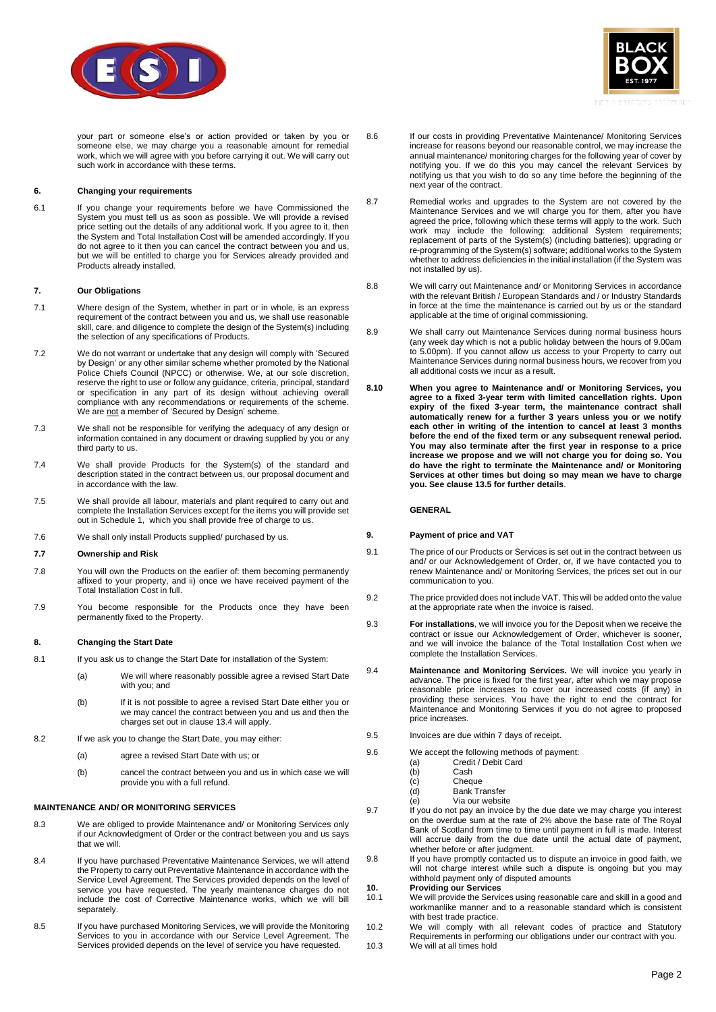



your part or someone else's or action provided or taken by you or someone else, we may charge you a reasonable amount for remedial work, which we will agree with you before carrying it out. We will carry out such work in accordance with these terms.

### **6. Changing your requirements**

6.1 If you change your requirements before we have Commissioned the System you must tell us as soon as possible. We will provide a revised price setting out the details of any additional work. If you agree to it, then the System and Total Installation Cost will be amended accordingly. If you do not agree to it then you can cancel the contract between you and us, but we will be entitled to charge you for Services already provided and Products already installed.

#### **7. Our Obligations**

- 7.1 Where design of the System, whether in part or in whole, is an express requirement of the contract between you and us, we shall use reasonable skill, care, and diligence to complete the design of the System(s) including the selection of any specifications of Products.
- 7.2 We do not warrant or undertake that any design will comply with 'Secured by Design' or any other similar scheme whether promoted by the National Police Chiefs Council (NPCC) or otherwise. We, at our sole discretion, reserve the right to use or follow any guidance, criteria, principal, standard or specification in any part of its design without achieving overall compliance with any recommendations or requirements of the scheme. We are not a member of 'Secured by Design' scheme.
- 7.3 We shall not be responsible for verifying the adequacy of any design or information contained in any document or drawing supplied by you or any third party to us.
- 7.4 We shall provide Products for the System(s) of the standard and description stated in the contract between us, our proposal document and in accordance with the law.
- 7.5 We shall provide all labour, materials and plant required to carry out and complete the Installation Services except for the items you will provide set out in Schedule 1, which you shall provide free of charge to us.
- 7.6 We shall only install Products supplied/ purchased by us.

#### **7.7 Ownership and Risk**

- 7.8 You will own the Products on the earlier of: them becoming permanently affixed to your property, and ii) once we have received payment of the Total Installation Cost in full.
- 7.9 You become responsible for the Products once they have been permanently fixed to the Property.

#### **8. Changing the Start Date**

- 8.1 If you ask us to change the Start Date for installation of the System:
	- (a) We will where reasonably possible agree a revised Start Date with you; and
	- (b) If it is not possible to agree a revised Start Date either you or we may cancel the contract between you and us and then the charges set out in claus[e 13.4](#page-2-1) will apply.
- 8.2 If we ask you to change the Start Date, you may either:
	- (a) agree a revised Start Date with us; or
	- (b) cancel the contract between you and us in which case we will provide you with a full refund.

#### **MAINTENANCE AND/ OR MONITORING SERVICES**

- 8.3 We are obliged to provide Maintenance and/ or Monitoring Services only if our Acknowledgment of Order or the contract between you and us says that we will.
- 8.4 If you have purchased Preventative Maintenance Services, we will attend the Property to carry out Preventative Maintenance in accordance with the Service Level Agreement. The Services provided depends on the level of service you have requested. The yearly maintenance charges do not include the cost of Corrective Maintenance works, which we will bill separately.
- 8.5 If you have purchased Monitoring Services, we will provide the Monitoring Services to you in accordance with our Service Level Agreement. The Services provided depends on the level of service you have requested.
- 8.6 If our costs in providing Preventative Maintenance/ Monitoring Services increase for reasons beyond our reasonable control, we may increase the annual maintenance/ monitoring charges for the following year of cover by notifying you. If we do this you may cancel the relevant Services by notifying us that you wish to do so any time before the beginning of the next year of the contract.
- 8.7 Remedial works and upgrades to the System are not covered by the Maintenance Services and we will charge you for them, after you have agreed the price, following which these terms will apply to the work. Such work may include the following: additional System requirements; replacement of parts of the System(s) (including batteries); upgrading or re-programming of the System(s) software; additional works to the System whether to address deficiencies in the initial installation (if the System was not installed by us).
- 8.8 We will carry out Maintenance and/ or Monitoring Services in accordance with the relevant British / European Standards and / or Industry Standards in force at the time the maintenance is carried out by us or the standard applicable at the time of original commissioning.
- 8.9 We shall carry out Maintenance Services during normal business hours (any week day which is not a public holiday between the hours of 9.00am to 5.00pm). If you cannot allow us access to your Property to carry out Maintenance Services during normal business hours, we recover from you all additional costs we incur as a result.
- <span id="page-1-0"></span>**8.10 When you agree to Maintenance and/ or Monitoring Services, you agree to a fixed 3-year term with limited cancellation rights. Upon expiry of the fixed 3-year term, the maintenance contract shall automatically renew for a further 3 years unless you or we notify each other in writing of the intention to cancel at least 3 months before the end of the fixed term or any subsequent renewal period. You may also terminate after the first year in response to a price increase we propose and we will not charge you for doing so. You do have the right to terminate the Maintenance and/ or Monitoring Services at other times but doing so may mean we have to charge you. See claus[e 13.5](#page-2-0) for further details**.

#### **GENERAL**

#### **9. Payment of price and VAT**

- 9.1 The price of our Products or Services is set out in the contract between us and/ or our Acknowledgement of Order, or, if we have contacted you to renew Maintenance and/ or Monitoring Services, the prices set out in our communication to you.
- 9.2 The price provided does not include VAT. This will be added onto the value at the appropriate rate when the invoice is raised.
- 9.3 **For installations**, we will invoice you for the Deposit when we receive the contract or issue our Acknowledgement of Order, whichever is sooner, and we will invoice the balance of the Total Installation Cost when we complete the Installation Services.
- 9.4 **Maintenance and Monitoring Services.** We will invoice you yearly in advance. The price is fixed for the first year, after which we may propose reasonable price increases to cover our increased costs (if any) in providing these services. You have the right to end the contract for Maintenance and Monitoring Services if you do not agree to proposed price increases.
- 9.5 Invoices are due within 7 days of receipt.
- 9.6 We accept the following methods of payment:<br>(a) Credit / Debit Card
	- Credit / Debit Card
	- (b) Cash
	- (c) Cheque
	- (d) Bank Transfer
	- (e) Via our website
- 9.7 If you do not pay an invoice by the due date we may charge you interest on the overdue sum at the rate of 2% above the base rate of The Royal Bank of Scotland from time to time until payment in full is made. Interest will accrue daily from the due date until the actual date of payment, whether before or after judgment.
- 9.8 If you have promptly contacted us to dispute an invoice in good faith, we will not charge interest while such a dispute is ongoing but you may withhold payment only of disputed amounts

# **10. Providing our Services**<br>10.1 We will provide the Servic

- We will provide the Services using reasonable care and skill in a good and workmanlike manner and to a reasonable standard which is consistent with best trade practice.
- 10.2 We will comply with all relevant codes of practice and Statutory Requirements in performing our obligations under our contract with you. 10.3 We will at all times hold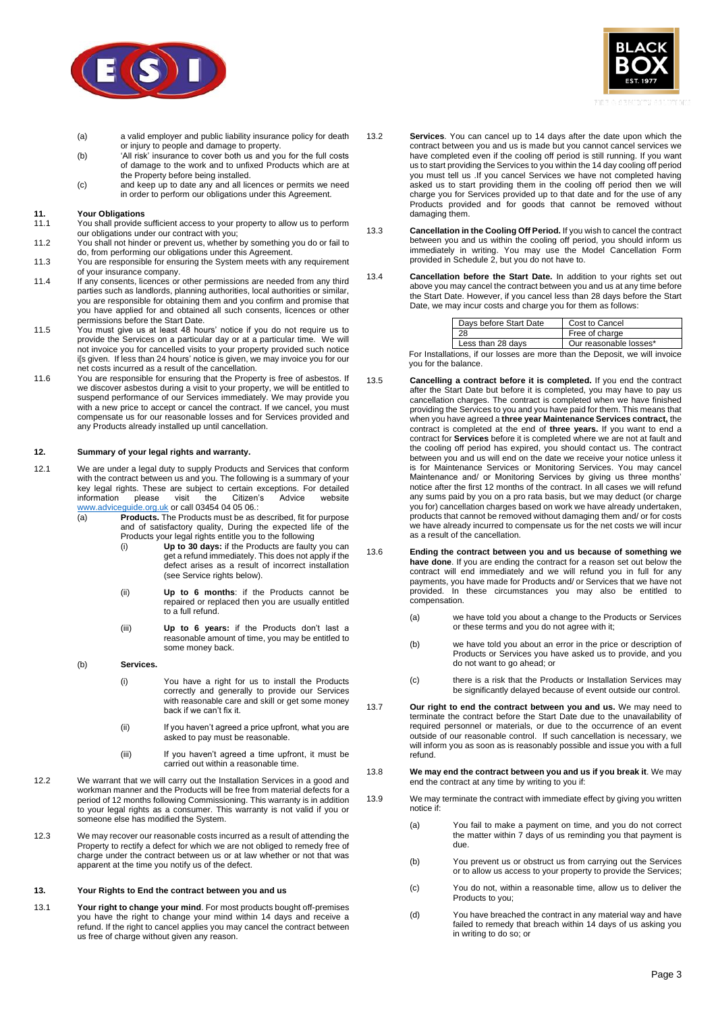



- (a) a valid employer and public liability insurance policy for death or injury to people and damage to property.
- (b) Thisk' insurance to cover both us and you for the full costs of damage to the work and to unfixed Products which are at the Property before being installed.
- (c) and keep up to date any and all licences or permits we need in order to perform our obligations under this Agreement.

# **11. Your Obligations**

11.1 You shall provide sufficient access to your property to allow us to perform our obligations under our contract with you;

- 11.2 You shall not hinder or prevent us, whether by something you do or fail to do, from performing our obligations under this Agreement.
- 11.3 You are responsible for ensuring the System meets with any requirement of your insurance company.
- 11.4 If any consents, licences or other permissions are needed from any third parties such as landlords, planning authorities, local authorities or similar, you are responsible for obtaining them and you confirm and promise that you have applied for and obtained all such consents, licences or other permissions before the Start Date.
- 11.5 You must give us at least 48 hours' notice if you do not require us to provide the Services on a particular day or at a particular time. We will not invoice you for cancelled visits to your property provided such notice i[s given. If less than 24 hours' notice is given, we may invoice you for our net costs incurred as a result of the cancellation.
- 11.6 You are responsible for ensuring that the Property is free of asbestos. If we discover asbestos during a visit to your property, we will be entitled to suspend performance of our Services immediately. We may provide you with a new price to accept or cancel the contract. If we cancel, you must compensate us for our reasonable losses and for Services provided and any Products already installed up until cancellation.

#### <span id="page-2-4"></span>**12. Summary of your legal rights and warranty.**

- 12.1 We are under a legal duty to supply Products and Services that conform with the contract between us and you. The following is a summary of your key legal rights. These are subject to certain exceptions. For detailed information please visit the Citizen's Advice website [www.adviceguide.org.uk](http://www.adviceguide.org.uk/) or call 03454 04 05 06.:
	- (a) **Products.** The Products must be as described, fit for purpose and of satisfactory quality, During the expected life of the Products your legal rights entitle you to the following<br>(i) **Up to 30 days:** if the Products are faulty
		- Up to 30 days: if the Products are faulty you can get a refund immediately. This does not apply if the defect arises as a result of incorrect installation (see Service rights below).
		- (ii) **Up to 6 months**: if the Products cannot be repaired or replaced then you are usually entitled to a full refund.
		- (iii) **Up to 6 years:** if the Products don't last a reasonable amount of time, you may be entitled to some money back.
	- (b) **Services.**
		- (i) You have a right for us to install the Products correctly and generally to provide our Services with reasonable care and skill or get some money back if we can't fix it.
		- (ii) If you haven't agreed a price upfront, what you are asked to pay must be reasonable.
		- (iii) If you haven't agreed a time upfront, it must be carried out within a reasonable time.
- 12.2 We warrant that we will carry out the Installation Services in a good and workman manner and the Products will be free from material defects for a period of 12 months following Commissioning. This warranty is in addition to your legal rights as a consumer. This warranty is not valid if you or someone else has modified the System.
- 12.3 We may recover our reasonable costs incurred as a result of attending the Property to rectify a defect for which we are not obliged to remedy free of charge under the contract between us or at law whether or not that was apparent at the time you notify us of the defect.

### **13. Your Rights to End the contract between you and us**

13.1 **Your right to change your mind**. For most products bought off-premises you have the right to change your mind within 14 days and receive a refund. If the right to cancel applies you may cancel the contract between us free of charge without given any reason.

- 13.2 **Services**. You can cancel up to 14 days after the date upon which the contract between you and us is made but you cannot cancel services we have completed even if the cooling off period is still running. If you want us to start providing the Services to you within the 14 day cooling off period you must tell us .If you cancel Services we have not completed having asked us to start providing them in the cooling off period then we will charge you for Services provided up to that date and for the use of any Products provided and for goods that cannot be removed without damaging them.
- 13.3 **Cancellation in the Cooling Off Period.** If you wish to cancel the contract between you and us within the cooling off period, you should inform us immediately in writing. You may use the Model Cancellation Form provided in Schedule 2, but you do not have to.
- <span id="page-2-1"></span>13.4 **Cancellation before the Start Date.** In addition to your rights set out above you may cancel the contract between you and us at any time before the Start Date. However, if you cancel less than 28 days before the Start Date, we may incur costs and charge you for them as follows:

| Days before Start Date | Cost to Cancel         |  |
|------------------------|------------------------|--|
| 28                     | Free of charge         |  |
| Less than 28 days      | Our reasonable losses* |  |

For Installations, if our losses are more than the Deposit, we will invoice you for the balance

- <span id="page-2-0"></span>13.5 **Cancelling a contract before it is completed.** If you end the contract after the Start Date but before it is completed, you may have to pay us cancellation charges. The contract is completed when we have finished providing the Services to you and you have paid for them. This means that when you have agreed a **three year Maintenance Services contract,** the contract is completed at the end of **three years.** If you want to end a contract for **Services** before it is completed where we are not at fault and the cooling off period has expired, you should contact us. The contract between you and us will end on the date we receive your notice unless it is for Maintenance Services or Monitoring Services. You may cancel Maintenance and/ or Monitoring Services by giving us three months' notice after the first 12 months of the contract. In all cases we will refund any sums paid by you on a pro rata basis, but we may deduct (or charge you for) cancellation charges based on work we have already undertaken, products that cannot be removed without damaging them and/ or for costs we have already incurred to compensate us for the net costs we will incur as a result of the cancellation.
- 13.6 **Ending the contract between you and us because of something we have done**. If you are ending the contract for a reason set out below the contract will end immediately and we will refund you in full for any payments, you have made for Products and/ or Services that we have not provided. In these circumstances you may also be entitled to compensation.
	- (a) we have told you about a change to the Products or Services or these terms and you do not agree with it;
	- (b) we have told you about an error in the price or description of Products or Services you have asked us to provide, and you do not want to go ahead; or
	- (c) there is a risk that the Products or Installation Services may be significantly delayed because of event outside our control.
- 13.7 **Our right to end the contract between you and us.** We may need to terminate the contract before the Start Date due to the unavailability of required personnel or materials, or due to the occurrence of an event outside of our reasonable control. If such cancellation is necessary, we will inform you as soon as is reasonably possible and issue you with a full refund.
- 13.8 **We may end the contract between you and us if you break it**. We may end the contract at any time by writing to you if:
- <span id="page-2-3"></span><span id="page-2-2"></span>13.9 We may terminate the contract with immediate effect by giving you written notice if:
	- (a) You fail to make a payment on time, and you do not correct the matter within 7 days of us reminding you that payment is due.
	- (b) You prevent us or obstruct us from carrying out the Services or to allow us access to your property to provide the Services;
	- (c) You do not, within a reasonable time, allow us to deliver the Products to you;
	- (d) You have breached the contract in any material way and have failed to remedy that breach within 14 days of us asking you in writing to do so; or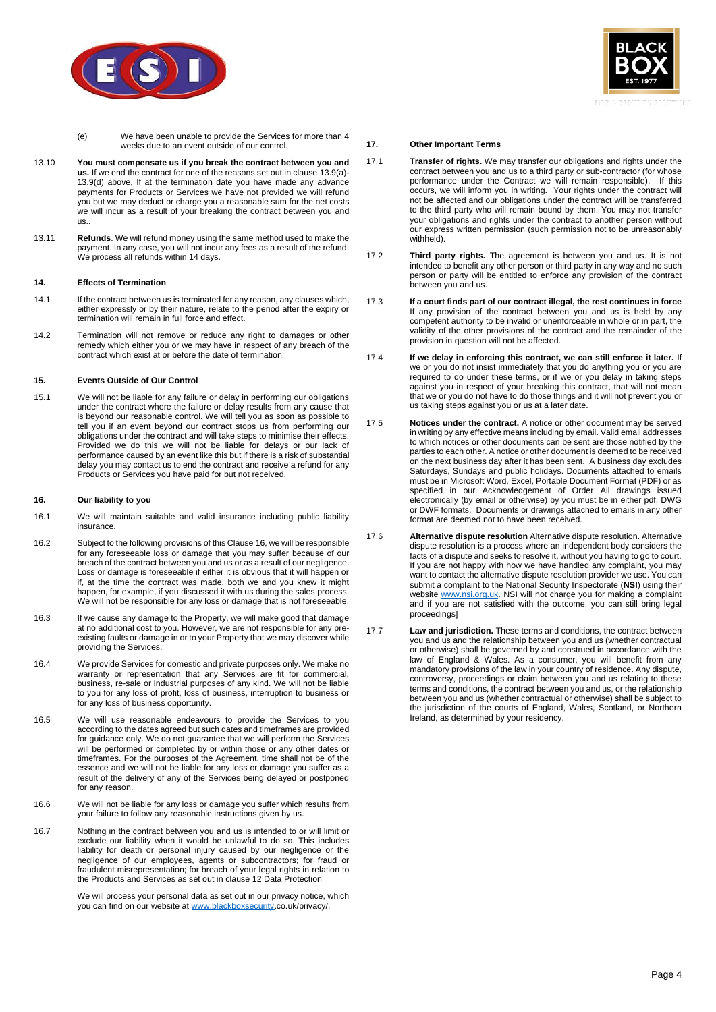



- (e) We have been unable to provide the Services for more than 4 weeks due to an event outside of our control.
- 13.10 **You must compensate us if you break the contract between you and us.** If we end the contract for one of the reasons set out in clause [13.9\(a\)-](#page-2-2) [13.9\(d\)](#page-2-3) above, If at the termination date you have made any advance payments for Products or Services we have not provided we will refund you but we may deduct or charge you a reasonable sum for the net costs we will incur as a result of your breaking the contract between you and us..
- 13.11 **Refunds**. We will refund money using the same method used to make the payment. In any case, you will not incur any fees as a result of the refund. We process all refunds within 14 days.

### **14. Effects of Termination**

- 14.1 If the contract between us is terminated for any reason, any clauses which, either expressly or by their nature, relate to the period after the expiry or termination will remain in full force and effect.
- 14.2 Termination will not remove or reduce any right to damages or other remedy which either you or we may have in respect of any breach of the contract which exist at or before the date of termination.

#### **15. Events Outside of Our Control**

15.1 We will not be liable for any failure or delay in performing our obligations under the contract where the failure or delay results from any cause that is beyond our reasonable control. We will tell you as soon as possible to tell you if an event beyond our contract stops us from performing our obligations under the contract and will take steps to minimise their effects. Provided we do this we will not be liable for delays or our lack of performance caused by an event like this but if there is a risk of substantial delay you may contact us to end the contract and receive a refund for any Products or Services you have paid for but not received.

#### <span id="page-3-0"></span>**16. Our liability to you**

- 16.1 We will maintain suitable and valid insurance including public liability insurance.
- 16.2 Subject to the following provisions of this Claus[e 16,](#page-3-0) we will be responsible for any foreseeable loss or damage that you may suffer because of our breach of the contract between you and us or as a result of our negligence. Loss or damage is foreseeable if either it is obvious that it will happen or if, at the time the contract was made, both we and you knew it might happen, for example, if you discussed it with us during the sales process. We will not be responsible for any loss or damage that is not foreseeable.
- 16.3 If we cause any damage to the Property, we will make good that damage at no additional cost to you. However, we are not responsible for any preexisting faults or damage in or to your Property that we may discover while providing the Services.
- 16.4 We provide Services for domestic and private purposes only. We make no warranty or representation that any Services are fit for commercial, business, re-sale or industrial purposes of any kind. We will not be liable to you for any loss of profit, loss of business, interruption to business or for any loss of business opportunity.
- 16.5 We will use reasonable endeavours to provide the Services to you according to the dates agreed but such dates and timeframes are provided for guidance only. We do not guarantee that we will perform the Services will be performed or completed by or within those or any other dates or timeframes. For the purposes of the Agreement, time shall not be of the essence and we will not be liable for any loss or damage you suffer as a result of the delivery of any of the Services being delayed or postponed for any reason.
- 16.6 We will not be liable for any loss or damage you suffer which results from your failure to follow any reasonable instructions given by us.
- 16.7 Nothing in the contract between you and us is intended to or will limit or exclude our liability when it would be unlawful to do so. This includes liability for death or personal injury caused by our negligence or the negligence of our employees, agents or subcontractors; for fraud or fraudulent misrepresentation; for breach of your legal rights in relation to the Products and Services as set out in clause [12](#page-2-4) Data Protection

We will process your personal data as set out in our privacy notice, which you can find on our website a[t www.blackboxsecurity.](http://www.blackboxsecurity/)co.uk/privacy/.

### **17. Other Important Terms**

- 17.1 **Transfer of rights.** We may transfer our obligations and rights under the contract between you and us to a third party or sub-contractor (for whose performance under the Contract we will remain responsible). If this occurs, we will inform you in writing. Your rights under the contract will not be affected and our obligations under the contract will be transferred to the third party who will remain bound by them. You may not transfer your obligations and rights under the contract to another person without our express written permission (such permission not to be unreasonably withheld).
- 17.2 **Third party rights.** The agreement is between you and us. It is not intended to benefit any other person or third party in any way and no such person or party will be entitled to enforce any provision of the contract between you and us.
- 17.3 **If a court finds part of our contract illegal, the rest continues in force** If any provision of the contract between you and us is held by any competent authority to be invalid or unenforceable in whole or in part, the validity of the other provisions of the contract and the remainder of the provision in question will not be affected.
- 17.4 **If we delay in enforcing this contract, we can still enforce it later.** If we or you do not insist immediately that you do anything you or you are required to do under these terms, or if we or you delay in taking steps against you in respect of your breaking this contract, that will not mean that we or you do not have to do those things and it will not prevent you or us taking steps against you or us at a later date.
- 17.5 **Notices under the contract.** A notice or other document may be served in writing by any effective means including by email. Valid email addresses to which notices or other documents can be sent are those notified by the parties to each other. A notice or other document is deemed to be received on the next business day after it has been sent. A business day excludes Saturdays, Sundays and public holidays. Documents attached to emails must be in Microsoft Word, Excel, Portable Document Format (PDF) or as specified in our Acknowledgement of Order All drawings issued electronically (by email or otherwise) by you must be in either pdf, DWG or DWF formats. Documents or drawings attached to emails in any other format are deemed not to have been received.
- 17.6 **Alternative dispute resolution** Alternative dispute resolution. Alternative dispute resolution is a process where an independent body considers the facts of a dispute and seeks to resolve it, without you having to go to court. If you are not happy with how we have handled any complaint, you may want to contact the alternative dispute resolution provider we use. You can submit a complaint to the National Security Inspectorate (**NSI**) using their website [www.nsi.org.uk.](http://www.nsi.org.uk/) NSI will not charge you for making a complaint and if you are not satisfied with the outcome, you can still bring legal proceedings]
- 17.7 **Law and jurisdiction.** These terms and conditions, the contract between you and us and the relationship between you and us (whether contractual or otherwise) shall be governed by and construed in accordance with the law of England & Wales. As a consumer, you will benefit from any mandatory provisions of the law in your country of residence. Any dispute, controversy, proceedings or claim between you and us relating to these terms and conditions, the contract between you and us, or the relationship between you and us (whether contractual or otherwise) shall be subject to the jurisdiction of the courts of England, Wales, Scotland, or Northern Ireland, as determined by your residency.